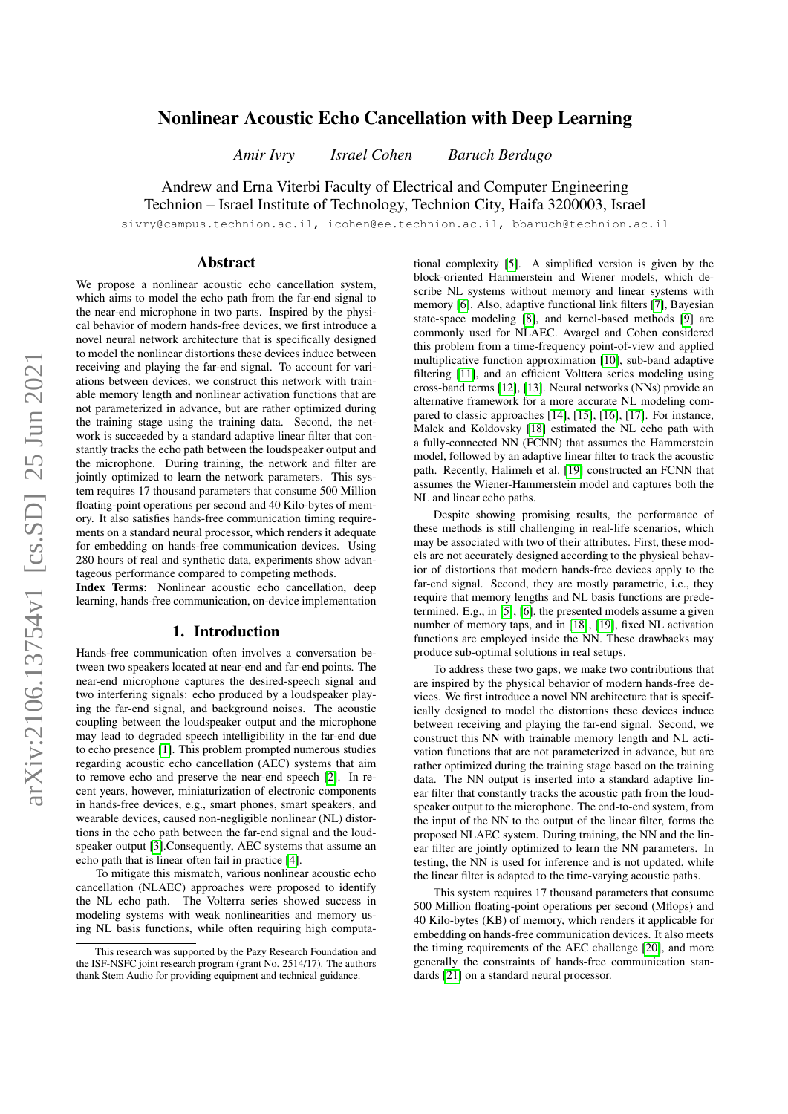# arXiv:2106.13754v1 [cs.SD] 25 Jun 2021arXiv:2106.13754v1 [cs.SD] 25 Jun 2021

# Nonlinear Acoustic Echo Cancellation with Deep Learning

*Amir Ivry Israel Cohen Baruch Berdugo*

Andrew and Erna Viterbi Faculty of Electrical and Computer Engineering

Technion – Israel Institute of Technology, Technion City, Haifa 3200003, Israel

sivry@campus.technion.ac.il, icohen@ee.technion.ac.il, bbaruch@technion.ac.il

# Abstract

We propose a nonlinear acoustic echo cancellation system, which aims to model the echo path from the far-end signal to the near-end microphone in two parts. Inspired by the physical behavior of modern hands-free devices, we first introduce a novel neural network architecture that is specifically designed to model the nonlinear distortions these devices induce between receiving and playing the far-end signal. To account for variations between devices, we construct this network with trainable memory length and nonlinear activation functions that are not parameterized in advance, but are rather optimized during the training stage using the training data. Second, the network is succeeded by a standard adaptive linear filter that constantly tracks the echo path between the loudspeaker output and the microphone. During training, the network and filter are jointly optimized to learn the network parameters. This system requires 17 thousand parameters that consume 500 Million floating-point operations per second and 40 Kilo-bytes of memory. It also satisfies hands-free communication timing requirements on a standard neural processor, which renders it adequate for embedding on hands-free communication devices. Using 280 hours of real and synthetic data, experiments show advantageous performance compared to competing methods.

Index Terms: Nonlinear acoustic echo cancellation, deep learning, hands-free communication, on-device implementation

# 1. Introduction

Hands-free communication often involves a conversation between two speakers located at near-end and far-end points. The near-end microphone captures the desired-speech signal and two interfering signals: echo produced by a loudspeaker playing the far-end signal, and background noises. The acoustic coupling between the loudspeaker output and the microphone may lead to degraded speech intelligibility in the far-end due to echo presence [\[1\]](#page-4-0). This problem prompted numerous studies regarding acoustic echo cancellation (AEC) systems that aim to remove echo and preserve the near-end speech [\[2\]](#page-4-1). In recent years, however, miniaturization of electronic components in hands-free devices, e.g., smart phones, smart speakers, and wearable devices, caused non-negligible nonlinear (NL) distortions in the echo path between the far-end signal and the loudspeaker output [\[3\]](#page-4-2).Consequently, AEC systems that assume an echo path that is linear often fail in practice [\[4\]](#page-4-3).

To mitigate this mismatch, various nonlinear acoustic echo cancellation (NLAEC) approaches were proposed to identify the NL echo path. The Volterra series showed success in modeling systems with weak nonlinearities and memory using NL basis functions, while often requiring high computa-

tional complexity [\[5\]](#page-4-4). A simplified version is given by the block-oriented Hammerstein and Wiener models, which describe NL systems without memory and linear systems with memory [\[6\]](#page-4-5). Also, adaptive functional link filters [\[7\]](#page-4-6), Bayesian state-space modeling [\[8\]](#page-4-7), and kernel-based methods [\[9\]](#page-4-8) are commonly used for NLAEC. Avargel and Cohen considered this problem from a time-frequency point-of-view and applied multiplicative function approximation [\[10\]](#page-4-9), sub-band adaptive filtering [\[11\]](#page-4-10), and an efficient Volttera series modeling using cross-band terms [\[12\]](#page-4-11), [\[13\]](#page-4-12). Neural networks (NNs) provide an alternative framework for a more accurate NL modeling compared to classic approaches [\[14\]](#page-4-13), [\[15\]](#page-4-14), [\[16\]](#page-4-15), [\[17\]](#page-4-16). For instance, Malek and Koldovsky [\[18\]](#page-4-17) estimated the NL echo path with a fully-connected NN (FCNN) that assumes the Hammerstein model, followed by an adaptive linear filter to track the acoustic path. Recently, Halimeh et al. [\[19\]](#page-4-18) constructed an FCNN that assumes the Wiener-Hammerstein model and captures both the NL and linear echo paths.

Despite showing promising results, the performance of these methods is still challenging in real-life scenarios, which may be associated with two of their attributes. First, these models are not accurately designed according to the physical behavior of distortions that modern hands-free devices apply to the far-end signal. Second, they are mostly parametric, i.e., they require that memory lengths and NL basis functions are predetermined. E.g., in [\[5\]](#page-4-4), [\[6\]](#page-4-5), the presented models assume a given number of memory taps, and in [\[18\]](#page-4-17), [\[19\]](#page-4-18), fixed NL activation functions are employed inside the NN. These drawbacks may produce sub-optimal solutions in real setups.

To address these two gaps, we make two contributions that are inspired by the physical behavior of modern hands-free devices. We first introduce a novel NN architecture that is specifically designed to model the distortions these devices induce between receiving and playing the far-end signal. Second, we construct this NN with trainable memory length and NL activation functions that are not parameterized in advance, but are rather optimized during the training stage based on the training data. The NN output is inserted into a standard adaptive linear filter that constantly tracks the acoustic path from the loudspeaker output to the microphone. The end-to-end system, from the input of the NN to the output of the linear filter, forms the proposed NLAEC system. During training, the NN and the linear filter are jointly optimized to learn the NN parameters. In testing, the NN is used for inference and is not updated, while the linear filter is adapted to the time-varying acoustic paths.

This system requires 17 thousand parameters that consume 500 Million floating-point operations per second (Mflops) and 40 Kilo-bytes (KB) of memory, which renders it applicable for embedding on hands-free communication devices. It also meets the timing requirements of the AEC challenge [\[20\]](#page-4-19), and more generally the constraints of hands-free communication standards [\[21\]](#page-4-20) on a standard neural processor.

This research was supported by the Pazy Research Foundation and the ISF-NSFC joint research program (grant No. 2514/17). The authors thank Stem Audio for providing equipment and technical guidance.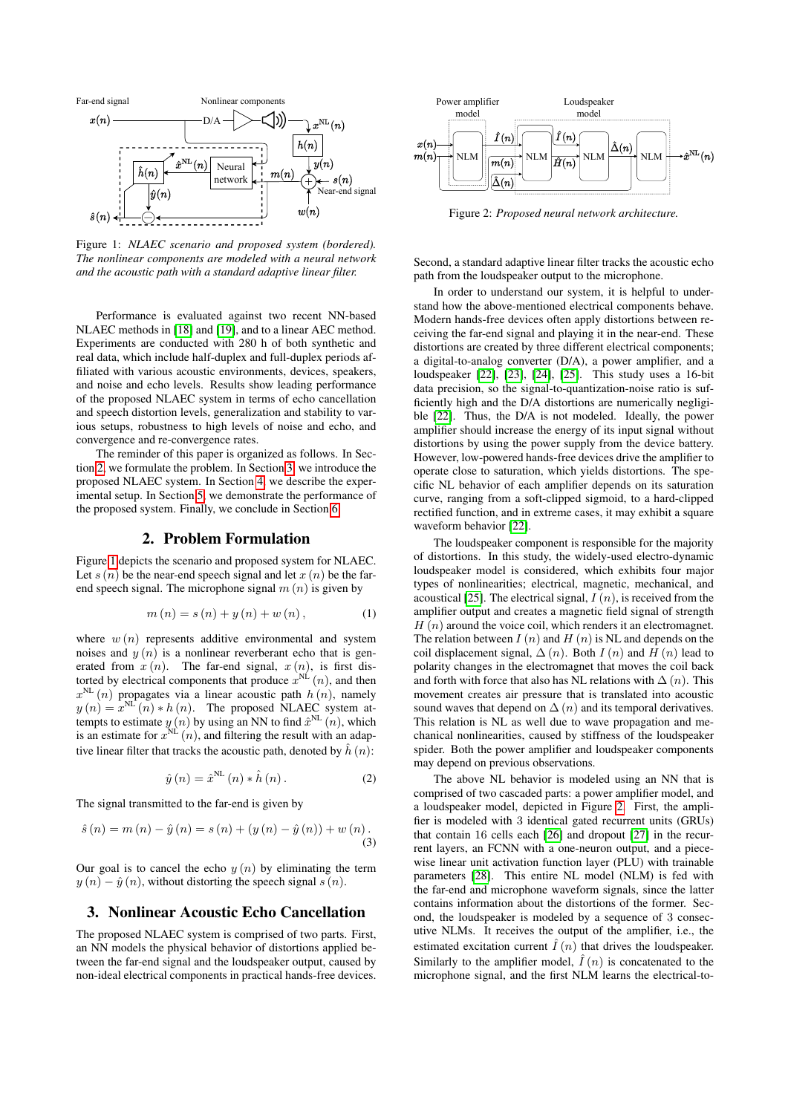<span id="page-1-2"></span>

Figure 1: *NLAEC scenario and proposed system (bordered). The nonlinear components are modeled with a neural network and the acoustic path with a standard adaptive linear filter.*

Performance is evaluated against two recent NN-based NLAEC methods in [\[18\]](#page-4-17) and [\[19\]](#page-4-18), and to a linear AEC method. Experiments are conducted with 280 h of both synthetic and real data, which include half-duplex and full-duplex periods affiliated with various acoustic environments, devices, speakers, and noise and echo levels. Results show leading performance of the proposed NLAEC system in terms of echo cancellation and speech distortion levels, generalization and stability to various setups, robustness to high levels of noise and echo, and convergence and re-convergence rates.

The reminder of this paper is organized as follows. In Section [2,](#page-1-0) we formulate the problem. In Section [3,](#page-1-1) we introduce the proposed NLAEC system. In Section [4,](#page-2-0) we describe the experimental setup. In Section [5,](#page-2-1) we demonstrate the performance of the proposed system. Finally, we conclude in Section [6.](#page-3-0)

## 2. Problem Formulation

<span id="page-1-0"></span>Figure [1](#page-1-2) depicts the scenario and proposed system for NLAEC. Let  $s(n)$  be the near-end speech signal and let  $x(n)$  be the farend speech signal. The microphone signal  $m(n)$  is given by

$$
m(n) = s(n) + y(n) + w(n),
$$
 (1)

where  $w(n)$  represents additive environmental and system noises and  $y(n)$  is a nonlinear reverberant echo that is generated from  $x(n)$ . The far-end signal,  $x(n)$ , is first distorted by electrical components that produce  $x^{NL}(n)$ , and then  $x^{NL}(n)$  propagates via a linear acoustic path  $h(n)$ , namely  $y(n) = x^{NL}(n) * h(n)$ . The proposed NLAEC system attempts to estimate  $y(n)$  by using an NN to find  $\hat{x}^{NL}(n)$ , which is an estimate for  $x^{NL}(n)$ , and filtering the result with an adaptive linear filter that tracks the acoustic path, denoted by  $\hat{h}(n)$ :

$$
\hat{y}(n) = \hat{x}^{\text{NL}}(n) * \hat{h}(n).
$$
 (2)

The signal transmitted to the far-end is given by

$$
\hat{s}(n) = m(n) - \hat{y}(n) = s(n) + (y(n) - \hat{y}(n)) + w(n).
$$
\n(3)

Our goal is to cancel the echo  $y(n)$  by eliminating the term  $y(n) - \hat{y}(n)$ , without distorting the speech signal s  $(n)$ .

#### <span id="page-1-1"></span>3. Nonlinear Acoustic Echo Cancellation

The proposed NLAEC system is comprised of two parts. First, an NN models the physical behavior of distortions applied between the far-end signal and the loudspeaker output, caused by non-ideal electrical components in practical hands-free devices.

<span id="page-1-3"></span>

Figure 2: *Proposed neural network architecture.*

Second, a standard adaptive linear filter tracks the acoustic echo path from the loudspeaker output to the microphone.

In order to understand our system, it is helpful to understand how the above-mentioned electrical components behave. Modern hands-free devices often apply distortions between receiving the far-end signal and playing it in the near-end. These distortions are created by three different electrical components; a digital-to-analog converter (D/A), a power amplifier, and a loudspeaker [\[22\]](#page-4-21), [\[23\]](#page-4-22), [\[24\]](#page-4-23), [\[25\]](#page-4-24). This study uses a 16-bit data precision, so the signal-to-quantization-noise ratio is sufficiently high and the D/A distortions are numerically negligible [\[22\]](#page-4-21). Thus, the D/A is not modeled. Ideally, the power amplifier should increase the energy of its input signal without distortions by using the power supply from the device battery. However, low-powered hands-free devices drive the amplifier to operate close to saturation, which yields distortions. The specific NL behavior of each amplifier depends on its saturation curve, ranging from a soft-clipped sigmoid, to a hard-clipped rectified function, and in extreme cases, it may exhibit a square waveform behavior [\[22\]](#page-4-21).

The loudspeaker component is responsible for the majority of distortions. In this study, the widely-used electro-dynamic loudspeaker model is considered, which exhibits four major types of nonlinearities; electrical, magnetic, mechanical, and acoustical [\[25\]](#page-4-24). The electrical signal,  $I(n)$ , is received from the amplifier output and creates a magnetic field signal of strength  $H(n)$  around the voice coil, which renders it an electromagnet. The relation between  $I(n)$  and  $H(n)$  is NL and depends on the coil displacement signal,  $\Delta(n)$ . Both  $I(n)$  and  $H(n)$  lead to polarity changes in the electromagnet that moves the coil back and forth with force that also has NL relations with  $\Delta(n)$ . This movement creates air pressure that is translated into acoustic sound waves that depend on  $\Delta(n)$  and its temporal derivatives. This relation is NL as well due to wave propagation and mechanical nonlinearities, caused by stiffness of the loudspeaker spider. Both the power amplifier and loudspeaker components may depend on previous observations.

The above NL behavior is modeled using an NN that is comprised of two cascaded parts: a power amplifier model, and a loudspeaker model, depicted in Figure [2.](#page-1-3) First, the amplifier is modeled with 3 identical gated recurrent units (GRUs) that contain 16 cells each [\[26\]](#page-4-25) and dropout [\[27\]](#page-4-26) in the recurrent layers, an FCNN with a one-neuron output, and a piecewise linear unit activation function layer (PLU) with trainable parameters [\[28\]](#page-4-27). This entire NL model (NLM) is fed with the far-end and microphone waveform signals, since the latter contains information about the distortions of the former. Second, the loudspeaker is modeled by a sequence of 3 consecutive NLMs. It receives the output of the amplifier, i.e., the estimated excitation current  $\hat{I}(n)$  that drives the loudspeaker. Similarly to the amplifier model,  $\hat{I}(n)$  is concatenated to the microphone signal, and the first NLM learns the electrical-to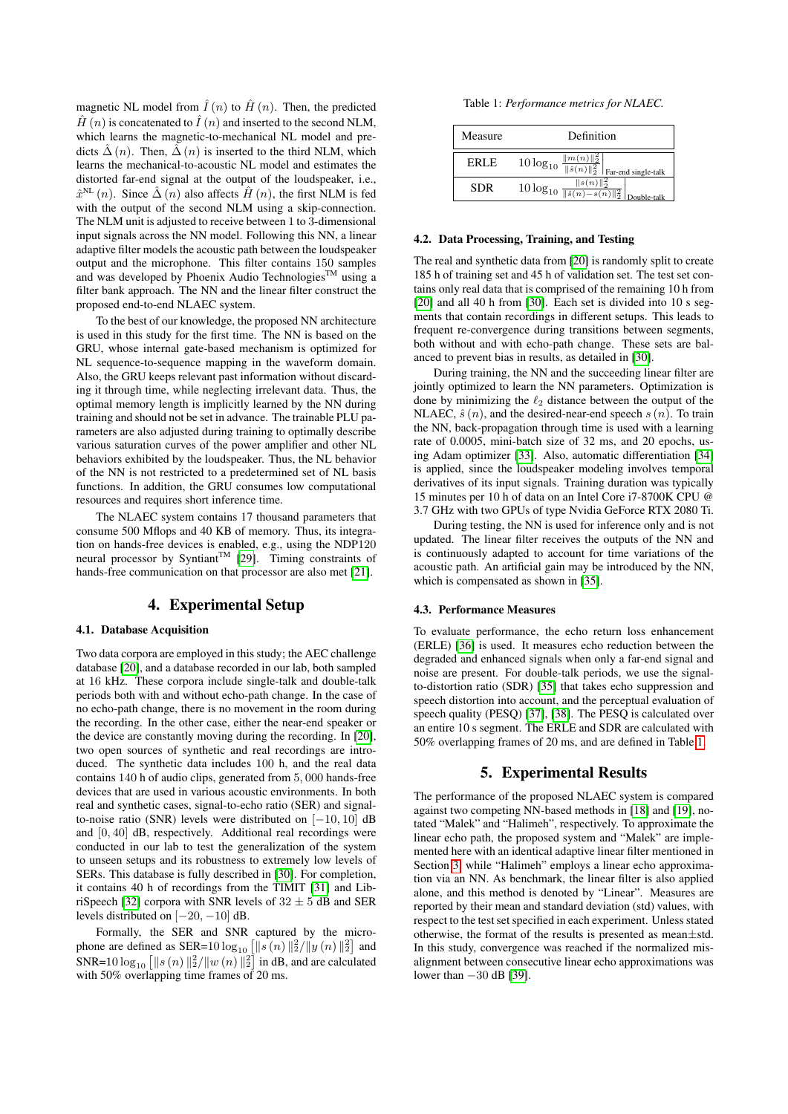magnetic NL model from  $\hat{I}(n)$  to  $\hat{H}(n)$ . Then, the predicted  $\hat{H}(n)$  is concatenated to  $\hat{I}(n)$  and inserted to the second NLM, which learns the magnetic-to-mechanical NL model and predicts  $\hat{\Delta}(n)$ . Then,  $\hat{\Delta}(n)$  is inserted to the third NLM, which learns the mechanical-to-acoustic NL model and estimates the distorted far-end signal at the output of the loudspeaker, i.e.,  $\hat{x}^{NL}(n)$ . Since  $\hat{\Delta}(n)$  also affects  $\hat{H}(n)$ , the first NLM is fed with the output of the second NLM using a skip-connection. The NLM unit is adjusted to receive between 1 to 3-dimensional input signals across the NN model. Following this NN, a linear adaptive filter models the acoustic path between the loudspeaker output and the microphone. This filter contains 150 samples and was developed by Phoenix Audio Technologies<sup>TM</sup> using a filter bank approach. The NN and the linear filter construct the proposed end-to-end NLAEC system.

To the best of our knowledge, the proposed NN architecture is used in this study for the first time. The NN is based on the GRU, whose internal gate-based mechanism is optimized for NL sequence-to-sequence mapping in the waveform domain. Also, the GRU keeps relevant past information without discarding it through time, while neglecting irrelevant data. Thus, the optimal memory length is implicitly learned by the NN during training and should not be set in advance. The trainable PLU parameters are also adjusted during training to optimally describe various saturation curves of the power amplifier and other NL behaviors exhibited by the loudspeaker. Thus, the NL behavior of the NN is not restricted to a predetermined set of NL basis functions. In addition, the GRU consumes low computational resources and requires short inference time.

The NLAEC system contains 17 thousand parameters that consume 500 Mflops and 40 KB of memory. Thus, its integration on hands-free devices is enabled, e.g., using the NDP120 neural processor by Syntiant<sup>TM</sup> [\[29\]](#page-4-28). Timing constraints of hands-free communication on that processor are also met [\[21\]](#page-4-20).

# 4. Experimental Setup

#### <span id="page-2-0"></span>4.1. Database Acquisition

Two data corpora are employed in this study; the AEC challenge database [\[20\]](#page-4-19), and a database recorded in our lab, both sampled at 16 kHz. These corpora include single-talk and double-talk periods both with and without echo-path change. In the case of no echo-path change, there is no movement in the room during the recording. In the other case, either the near-end speaker or the device are constantly moving during the recording. In [\[20\]](#page-4-19), two open sources of synthetic and real recordings are introduced. The synthetic data includes 100 h, and the real data contains 140 h of audio clips, generated from 5, 000 hands-free devices that are used in various acoustic environments. In both real and synthetic cases, signal-to-echo ratio (SER) and signalto-noise ratio (SNR) levels were distributed on [−10, 10] dB and [0, 40] dB, respectively. Additional real recordings were conducted in our lab to test the generalization of the system to unseen setups and its robustness to extremely low levels of SERs. This database is fully described in [\[30\]](#page-4-29). For completion, it contains 40 h of recordings from the TIMIT [\[31\]](#page-4-30) and Lib-riSpeech [\[32\]](#page-4-31) corpora with SNR levels of  $32 \pm 5$  dB and SER levels distributed on [−20, −10] dB.

Formally, the SER and SNR captured by the microphone are defined as SER=10  $\log_{10} [\Vert s(n) \Vert_2^2 / \Vert y(n) \Vert_2^2]$  and SNR=10  $\log_{10}$   $\left[ \lVert s\left( n\right) \rVert_{2}^{2}/\lVert w\left( n\right) \rVert_{2}^{2}\right]$  in dB, and are calculated with 50% overlapping time frames of 20 ms.

<span id="page-2-2"></span>Table 1: *Performance metrics for NLAEC.*

| Measure | Definition                                                                                          |  |  |
|---------|-----------------------------------------------------------------------------------------------------|--|--|
| ERL E   | $\overline{\frac{\ m(n)\ _2^2}{\ {\mathbb{S}}(n)\ _2^2}}\Big _{\text{Far-end single-tall}}$         |  |  |
| SDR     | $  s(n)  _2^2$<br>$10\log_{10} \frac{\ln 100}{\ \hat{s}(n)-s(n)\ _2^2}\frac{1}{\text{Double-talk}}$ |  |  |

## <span id="page-2-3"></span>4.2. Data Processing, Training, and Testing

The real and synthetic data from [\[20\]](#page-4-19) is randomly split to create 185 h of training set and 45 h of validation set. The test set contains only real data that is comprised of the remaining 10 h from [\[20\]](#page-4-19) and all 40 h from [\[30\]](#page-4-29). Each set is divided into 10 s segments that contain recordings in different setups. This leads to frequent re-convergence during transitions between segments, both without and with echo-path change. These sets are balanced to prevent bias in results, as detailed in [\[30\]](#page-4-29).

During training, the NN and the succeeding linear filter are jointly optimized to learn the NN parameters. Optimization is done by minimizing the  $\ell_2$  distance between the output of the NLAEC,  $\hat{s}(n)$ , and the desired-near-end speech s  $(n)$ . To train the NN, back-propagation through time is used with a learning rate of 0.0005, mini-batch size of 32 ms, and 20 epochs, using Adam optimizer [\[33\]](#page-4-32). Also, automatic differentiation [\[34\]](#page-4-33) is applied, since the loudspeaker modeling involves temporal derivatives of its input signals. Training duration was typically 15 minutes per 10 h of data on an Intel Core i7-8700K CPU @ 3.7 GHz with two GPUs of type Nvidia GeForce RTX 2080 Ti.

During testing, the NN is used for inference only and is not updated. The linear filter receives the outputs of the NN and is continuously adapted to account for time variations of the acoustic path. An artificial gain may be introduced by the NN, which is compensated as shown in [\[35\]](#page-4-34).

#### 4.3. Performance Measures

To evaluate performance, the echo return loss enhancement (ERLE) [\[36\]](#page-4-35) is used. It measures echo reduction between the degraded and enhanced signals when only a far-end signal and noise are present. For double-talk periods, we use the signalto-distortion ratio (SDR) [\[35\]](#page-4-34) that takes echo suppression and speech distortion into account, and the perceptual evaluation of speech quality (PESQ) [\[37\]](#page-4-36), [\[38\]](#page-4-37). The PESQ is calculated over an entire 10 s segment. The ERLE and SDR are calculated with 50% overlapping frames of 20 ms, and are defined in Table [1.](#page-2-2)

# 5. Experimental Results

<span id="page-2-1"></span>The performance of the proposed NLAEC system is compared against two competing NN-based methods in [\[18\]](#page-4-17) and [\[19\]](#page-4-18), notated "Malek" and "Halimeh", respectively. To approximate the linear echo path, the proposed system and "Malek" are implemented here with an identical adaptive linear filter mentioned in Section [3,](#page-1-1) while "Halimeh" employs a linear echo approximation via an NN. As benchmark, the linear filter is also applied alone, and this method is denoted by "Linear". Measures are reported by their mean and standard deviation (std) values, with respect to the test set specified in each experiment. Unless stated otherwise, the format of the results is presented as mean±std. In this study, convergence was reached if the normalized misalignment between consecutive linear echo approximations was lower than −30 dB [\[39\]](#page-4-38).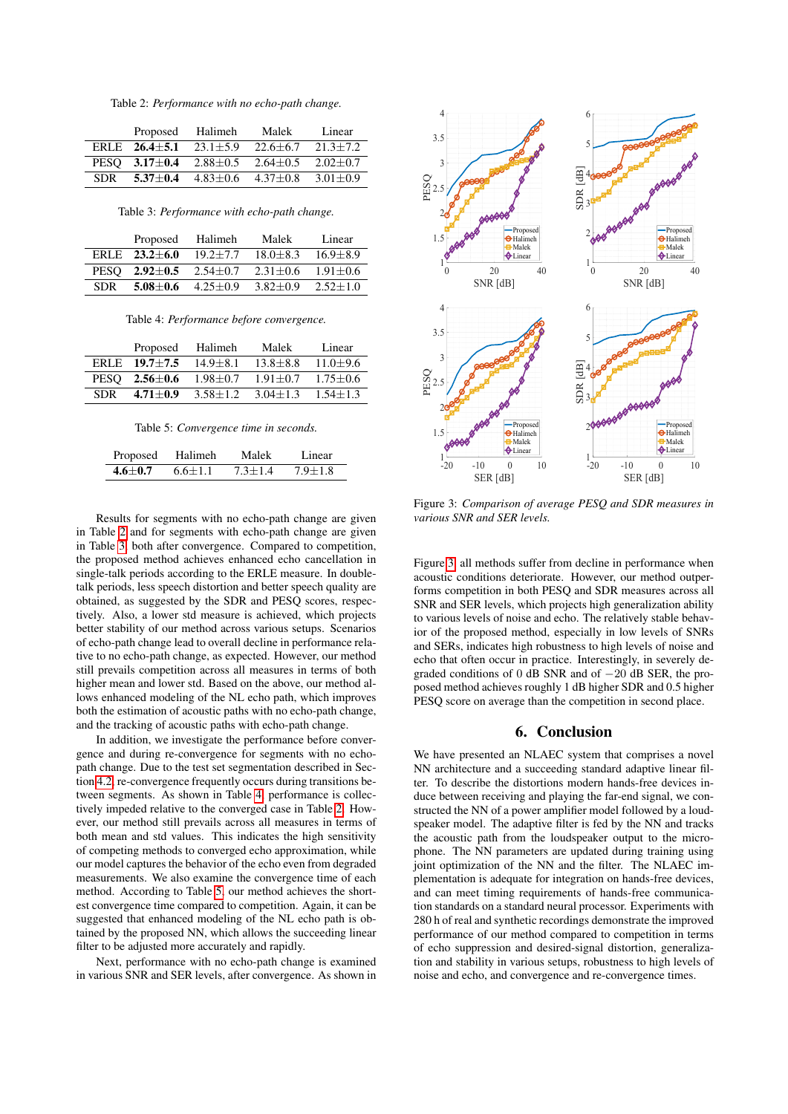<span id="page-3-1"></span>Table 2: *Performance with no echo-path change.*

|            | Proposed          | Halimeh                                                  | Malek        | Linear       |
|------------|-------------------|----------------------------------------------------------|--------------|--------------|
|            | ERLE $26.4 + 5.1$ | $23.1 + 5.9$                                             | $22.6 + 6.7$ | $21.3 + 7.2$ |
|            |                   | PESO $3.17\pm0.4$ $2.88\pm0.5$ $2.64\pm0.5$ $2.02\pm0.7$ |              |              |
| <b>SDR</b> |                   | $5.37+0.4$ $4.83+0.6$ $4.37+0.8$                         |              | $3.01 + 0.9$ |

Table 3: *Performance with echo-path change.*

<span id="page-3-2"></span>

|      | Proposed            | Halimeh        | Malek        | Linear       |
|------|---------------------|----------------|--------------|--------------|
|      | ERLE $23.2 + 6.0$   | $19.2 + 7.7$   | $18.0 + 8.3$ | $16.9 + 8.9$ |
|      | PESO $2.92 \pm 0.5$ | $2.54 \pm 0.7$ | $2.31 + 0.6$ | $1.91 + 0.6$ |
| SDR. | $5.08 + 0.6$        | $4.25 + 0.9$   | $3.82 + 0.9$ | $2.52 + 1.0$ |

Table 4: *Performance before convergence.*

<span id="page-3-3"></span>

|      | Proposed                           | Halimeh      | Malek        | Linear       |
|------|------------------------------------|--------------|--------------|--------------|
|      | ERLE $19.7 + 7.5$                  | $14.9 + 8.1$ | $13.8 + 8.8$ | $11.0 + 9.6$ |
|      | PESO $2.56 \pm 0.6$ $1.98 \pm 0.7$ |              | $1.91 + 0.7$ | $1.75 + 0.6$ |
| SDR. | $4.71 + 0.9$                       | $3.58 + 1.2$ | $3.04 + 1.3$ | $1.54 + 1.3$ |

Table 5: *Convergence time in seconds.*

<span id="page-3-4"></span>

| Proposed    | Halimeh     | Malek       | Linear      |
|-------------|-------------|-------------|-------------|
| $4.6 + 0.7$ | $6.6 + 1.1$ | $7.3 + 1.4$ | $7.9 + 1.8$ |

Results for segments with no echo-path change are given in Table [2](#page-3-1) and for segments with echo-path change are given in Table [3,](#page-3-2) both after convergence. Compared to competition, the proposed method achieves enhanced echo cancellation in single-talk periods according to the ERLE measure. In doubletalk periods, less speech distortion and better speech quality are obtained, as suggested by the SDR and PESQ scores, respectively. Also, a lower std measure is achieved, which projects better stability of our method across various setups. Scenarios of echo-path change lead to overall decline in performance relative to no echo-path change, as expected. However, our method still prevails competition across all measures in terms of both higher mean and lower std. Based on the above, our method allows enhanced modeling of the NL echo path, which improves both the estimation of acoustic paths with no echo-path change, and the tracking of acoustic paths with echo-path change.

In addition, we investigate the performance before convergence and during re-convergence for segments with no echopath change. Due to the test set segmentation described in Section [4.2,](#page-2-3) re-convergence frequently occurs during transitions between segments. As shown in Table [4,](#page-3-3) performance is collectively impeded relative to the converged case in Table [2.](#page-3-1) However, our method still prevails across all measures in terms of both mean and std values. This indicates the high sensitivity of competing methods to converged echo approximation, while our model captures the behavior of the echo even from degraded measurements. We also examine the convergence time of each method. According to Table [5,](#page-3-4) our method achieves the shortest convergence time compared to competition. Again, it can be suggested that enhanced modeling of the NL echo path is obtained by the proposed NN, which allows the succeeding linear filter to be adjusted more accurately and rapidly.

Next, performance with no echo-path change is examined in various SNR and SER levels, after convergence. As shown in

<span id="page-3-5"></span>

Figure 3: *Comparison of average PESQ and SDR measures in various SNR and SER levels.*

Figure [3,](#page-3-5) all methods suffer from decline in performance when acoustic conditions deteriorate. However, our method outperforms competition in both PESQ and SDR measures across all SNR and SER levels, which projects high generalization ability to various levels of noise and echo. The relatively stable behavior of the proposed method, especially in low levels of SNRs and SERs, indicates high robustness to high levels of noise and echo that often occur in practice. Interestingly, in severely degraded conditions of 0 dB SNR and of −20 dB SER, the proposed method achieves roughly 1 dB higher SDR and 0.5 higher PESQ score on average than the competition in second place.

# 6. Conclusion

<span id="page-3-0"></span>We have presented an NLAEC system that comprises a novel NN architecture and a succeeding standard adaptive linear filter. To describe the distortions modern hands-free devices induce between receiving and playing the far-end signal, we constructed the NN of a power amplifier model followed by a loudspeaker model. The adaptive filter is fed by the NN and tracks the acoustic path from the loudspeaker output to the microphone. The NN parameters are updated during training using joint optimization of the NN and the filter. The NLAEC implementation is adequate for integration on hands-free devices, and can meet timing requirements of hands-free communication standards on a standard neural processor. Experiments with 280 h of real and synthetic recordings demonstrate the improved performance of our method compared to competition in terms of echo suppression and desired-signal distortion, generalization and stability in various setups, robustness to high levels of noise and echo, and convergence and re-convergence times.